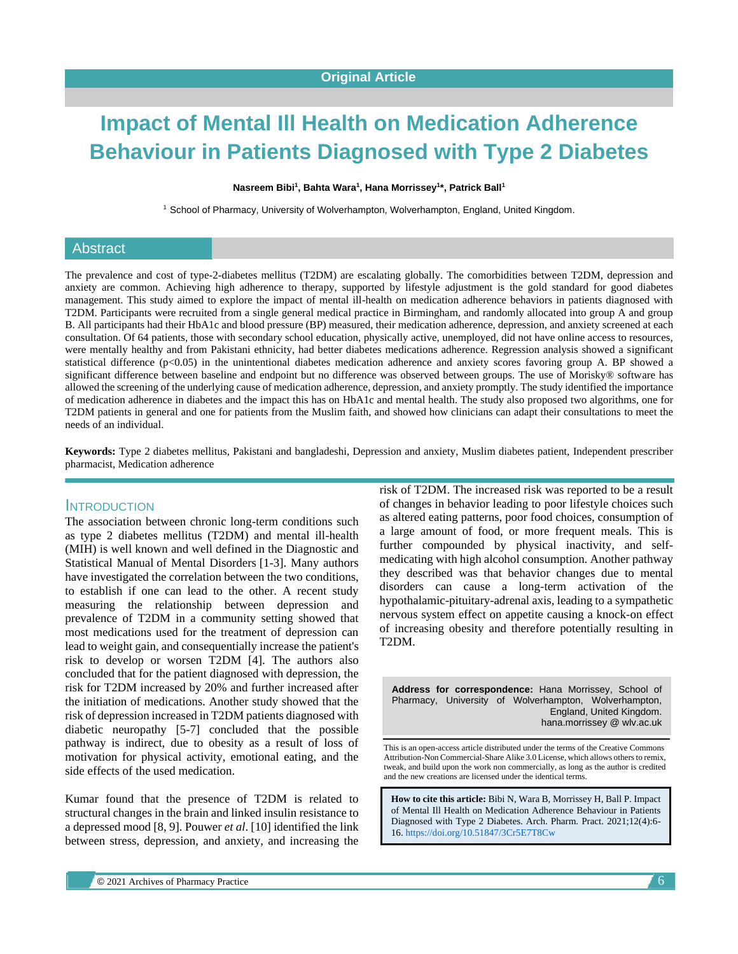# **Impact of Mental Ill Health on Medication Adherence Behaviour in Patients Diagnosed with Type 2 Diabetes**

#### **Nasreem Bibi<sup>1</sup> , Bahta Wara<sup>1</sup> , Hana Morrissey<sup>1</sup> \*, Patrick Ball<sup>1</sup>**

<sup>1</sup> School of Pharmacy, University of Wolverhampton, Wolverhampton, England, United Kingdom.

### Abstract

The prevalence and cost of type-2-diabetes mellitus (T2DM) are escalating globally. The comorbidities between T2DM, depression and anxiety are common. Achieving high adherence to therapy, supported by lifestyle adjustment is the gold standard for good diabetes management. This study aimed to explore the impact of mental ill-health on medication adherence behaviors in patients diagnosed with T2DM. Participants were recruited from a single general medical practice in Birmingham, and randomly allocated into group A and group B. All participants had their HbA1c and blood pressure (BP) measured, their medication adherence, depression, and anxiety screened at each consultation. Of 64 patients, those with secondary school education, physically active, unemployed, did not have online access to resources, were mentally healthy and from Pakistani ethnicity, had better diabetes medications adherence. Regression analysis showed a significant statistical difference  $(p<0.05)$  in the unintentional diabetes medication adherence and anxiety scores favoring group A. BP showed a significant difference between baseline and endpoint but no difference was observed between groups. The use of Morisky® software has allowed the screening of the underlying cause of medication adherence, depression, and anxiety promptly. The study identified the importance of medication adherence in diabetes and the impact this has on HbA1c and mental health. The study also proposed two algorithms, one for T2DM patients in general and one for patients from the Muslim faith, and showed how clinicians can adapt their consultations to meet the needs of an individual.

**Keywords:** Type 2 diabetes mellitus, Pakistani and bangladeshi, Depression and anxiety, Muslim diabetes patient, Independent prescriber pharmacist, Medication adherence

#### INTRODUCTION

The association between chronic long-term conditions such as type 2 diabetes mellitus (T2DM) and mental ill-health (MIH) is well known and well defined in the Diagnostic and Statistical Manual of Mental Disorders [1-3]. Many authors have investigated the correlation between the two conditions, to establish if one can lead to the other. A recent study measuring the relationship between depression and prevalence of T2DM in a community setting showed that most medications used for the treatment of depression can lead to weight gain, and consequentially increase the patient's risk to develop or worsen T2DM [4]. The authors also concluded that for the patient diagnosed with depression, the risk for T2DM increased by 20% and further increased after the initiation of medications. Another study showed that the risk of depression increased in T2DM patients diagnosed with diabetic neuropathy [5-7] concluded that the possible pathway is indirect, due to obesity as a result of loss of motivation for physical activity, emotional eating, and the side effects of the used medication.

Kumar found that the presence of T2DM is related to structural changes in the brain and linked insulin resistance to a depressed mood [8, 9]. Pouwer *et al*. [10] identified the link between stress, depression, and anxiety, and increasing the risk of T2DM. The increased risk was reported to be a result of changes in behavior leading to poor lifestyle choices such as altered eating patterns, poor food choices, consumption of a large amount of food, or more frequent meals. This is further compounded by physical inactivity, and selfmedicating with high alcohol consumption. Another pathway they described was that behavior changes due to mental disorders can cause a long-term activation of the hypothalamic-pituitary-adrenal axis, leading to a sympathetic nervous system effect on appetite causing a knock-on effect of increasing obesity and therefore potentially resulting in T2DM.

**Address for correspondence:** Hana Morrissey, School of Pharmacy, University of Wolverhampton, Wolverhampton, England, United Kingdom. hana.morrissey @ wlv.ac.uk

This is an open-access article distributed under the terms of the Creative Commons Attribution-Non Commercial-Share Alike 3.0 License, which allows others to remix, tweak, and build upon the work non commercially, as long as the author is credited and the new creations are licensed under the identical terms.

**How to cite this article:** Bibi N, Wara B, Morrissey H, Ball P. Impact of Mental Ill Health on Medication Adherence Behaviour in Patients Diagnosed with Type 2 Diabetes. Arch. Pharm. Pract. 2021;12(4):6- 16. <https://doi.org/10.51847/3Cr5E7T8Cw>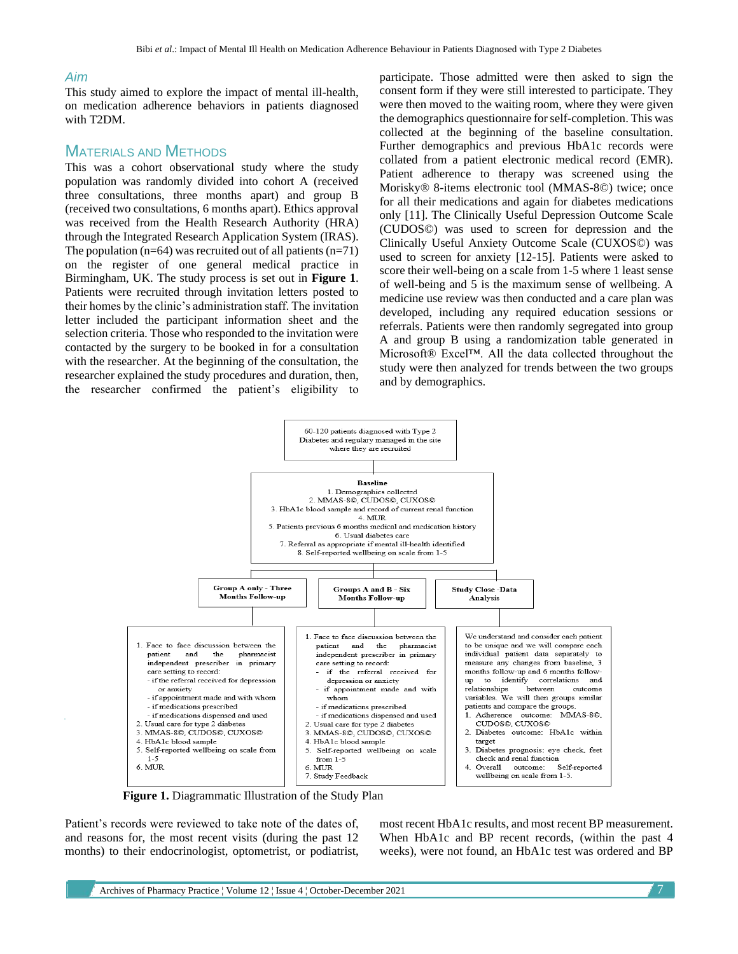#### *Aim*

This study aimed to explore the impact of mental ill-health, on medication adherence behaviors in patients diagnosed with T2DM.

## MATERIALS AND METHODS

This was a cohort observational study where the study population was randomly divided into cohort A (received three consultations, three months apart) and group B (received two consultations, 6 months apart). Ethics approval was received from the Health Research Authority (HRA) through the Integrated Research Application System (IRAS). The population  $(n=64)$  was recruited out of all patients  $(n=71)$ on the register of one general medical practice in Birmingham, UK. The study process is set out in **Figure 1**. Patients were recruited through invitation letters posted to their homes by the clinic's administration staff. The invitation letter included the participant information sheet and the selection criteria. Those who responded to the invitation were contacted by the surgery to be booked in for a consultation with the researcher. At the beginning of the consultation, the researcher explained the study procedures and duration, then, the researcher confirmed the patient's eligibility to

participate. Those admitted were then asked to sign the consent form if they were still interested to participate. They were then moved to the waiting room, where they were given the demographics questionnaire for self-completion. This was collected at the beginning of the baseline consultation. Further demographics and previous HbA1c records were collated from a patient electronic medical record (EMR). Patient adherence to therapy was screened using the Morisky® 8-items electronic tool (MMAS-8©) twice; once for all their medications and again for diabetes medications only [11]. The Clinically Useful Depression Outcome Scale (CUDOS©) was used to screen for depression and the Clinically Useful Anxiety Outcome Scale (CUXOS©) was used to screen for anxiety [12-15]. Patients were asked to score their well-being on a scale from 1-5 where 1 least sense of well-being and 5 is the maximum sense of wellbeing. A medicine use review was then conducted and a care plan was developed, including any required education sessions or referrals. Patients were then randomly segregated into group A and group B using a randomization table generated in Microsoft® Excel™. All the data collected throughout the study were then analyzed for trends between the two groups and by demographics.



**Figure 1.** Diagrammatic Illustration of the Study Plan

Patient's records were reviewed to take note of the dates of, and reasons for, the most recent visits (during the past 12 months) to their endocrinologist, optometrist, or podiatrist, most recent HbA1c results, and most recent BP measurement. When HbA1c and BP recent records, (within the past 4 weeks), were not found, an HbA1c test was ordered and BP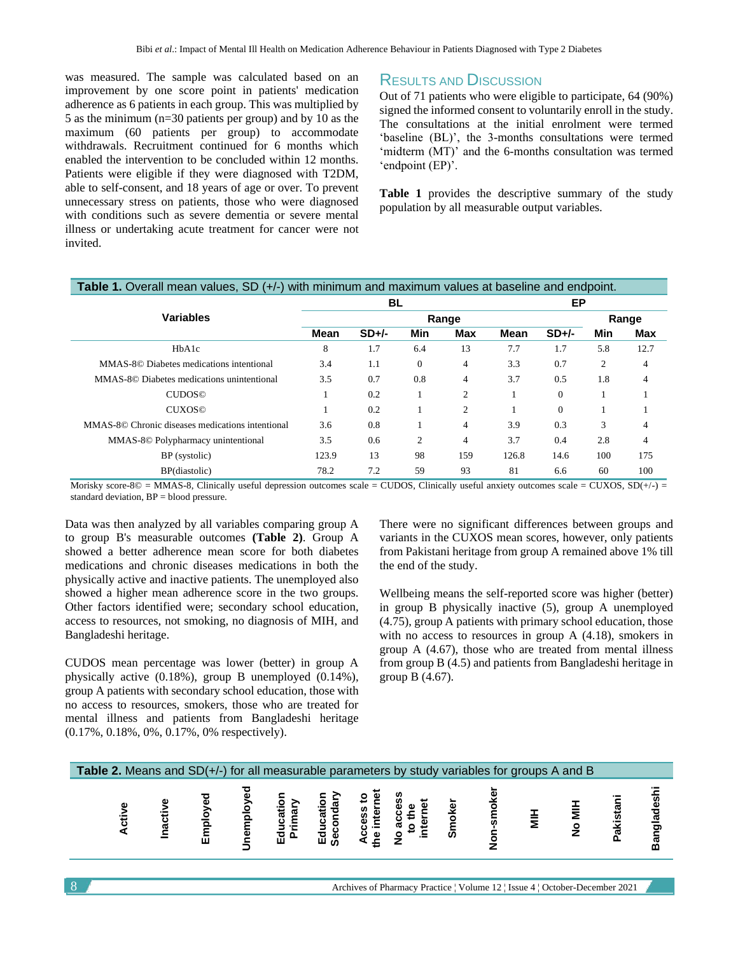was measured. The sample was calculated based on an improvement by one score point in patients' medication adherence as 6 patients in each group. This was multiplied by 5 as the minimum (n=30 patients per group) and by 10 as the maximum (60 patients per group) to accommodate withdrawals. Recruitment continued for 6 months which enabled the intervention to be concluded within 12 months. Patients were eligible if they were diagnosed with T2DM, able to self-consent, and 18 years of age or over. To prevent unnecessary stress on patients, those who were diagnosed with conditions such as severe dementia or severe mental illness or undertaking acute treatment for cancer were not invited.

## RESULTS AND DISCUSSION

Out of 71 patients who were eligible to participate, 64 (90%) signed the informed consent to voluntarily enroll in the study. The consultations at the initial enrolment were termed 'baseline (BL)', the 3-months consultations were termed 'midterm (MT)' and the 6-months consultation was termed 'endpoint (EP)'.

**Table 1** provides the descriptive summary of the study population by all measurable output variables.

### **Table 1.** Overall mean values, SD (+/-) with minimum and maximum values at baseline and endpoint.

|                                                  |       | <b>BL</b> |                | ЕP  |             |                |     |            |
|--------------------------------------------------|-------|-----------|----------------|-----|-------------|----------------|-----|------------|
| <b>Variables</b>                                 |       |           | Range          |     |             |                |     |            |
|                                                  | Mean  | $SD+/-$   | Min            | Max | <b>Mean</b> | $SD+/-$        | Min | <b>Max</b> |
| HbA1c                                            | 8     | 1.7       | 6.4            | 13  | 7.7         | 1.7            | 5.8 | 12.7       |
| MMAS-8© Diabetes medications intentional         | 3.4   | 1.1       | $\theta$       | 4   | 3.3         | 0.7            | 2   | 4          |
| MMAS-8© Diabetes medications unintentional       | 3.5   | 0.7       | 0.8            | 4   | 3.7         | 0.5            | 1.8 | 4          |
| <b>CUDOS</b> <sup>©</sup>                        |       | 0.2       |                | 2   |             | $\overline{0}$ |     |            |
| <b>CUXOS</b> <sup>©</sup>                        |       | 0.2       |                | 2   |             | $\Omega$       |     |            |
| MMAS-8© Chronic diseases medications intentional | 3.6   | 0.8       |                | 4   | 3.9         | 0.3            | 3   | 4          |
| MMAS-8© Polypharmacy unintentional               | 3.5   | 0.6       | $\overline{2}$ | 4   | 3.7         | 0.4            | 2.8 | 4          |
| BP (systolic)                                    | 123.9 | 13        | 98             | 159 | 126.8       | 14.6           | 100 | 175        |
| BP(diastolic)                                    | 78.2  | 7.2       | 59             | 93  | 81          | 6.6            | 60  | 100        |

Morisky score-8© = MMAS-8, Clinically useful depression outcomes scale = CUDOS, Clinically useful anxiety outcomes scale = CUXOS,  $SD(+/-)$  = standard deviation, BP = blood pressure.

Data was then analyzed by all variables comparing group A to group B's measurable outcomes **(Table 2)**. Group A showed a better adherence mean score for both diabetes medications and chronic diseases medications in both the physically active and inactive patients. The unemployed also showed a higher mean adherence score in the two groups. Other factors identified were; secondary school education, access to resources, not smoking, no diagnosis of MIH, and Bangladeshi heritage.

CUDOS mean percentage was lower (better) in group A physically active (0.18%), group B unemployed (0.14%), group A patients with secondary school education, those with no access to resources, smokers, those who are treated for mental illness and patients from Bangladeshi heritage (0.17%, 0.18%, 0%, 0.17%, 0% respectively).

There were no significant differences between groups and variants in the CUXOS mean scores, however, only patients from Pakistani heritage from group A remained above 1% till the end of the study.

Wellbeing means the self-reported score was higher (better) in group B physically inactive (5), group A unemployed (4.75), group A patients with primary school education, those with no access to resources in group A (4.18), smokers in group A (4.67), those who are treated from mental illness from group B (4.5) and patients from Bangladeshi heritage in group B (4.67).

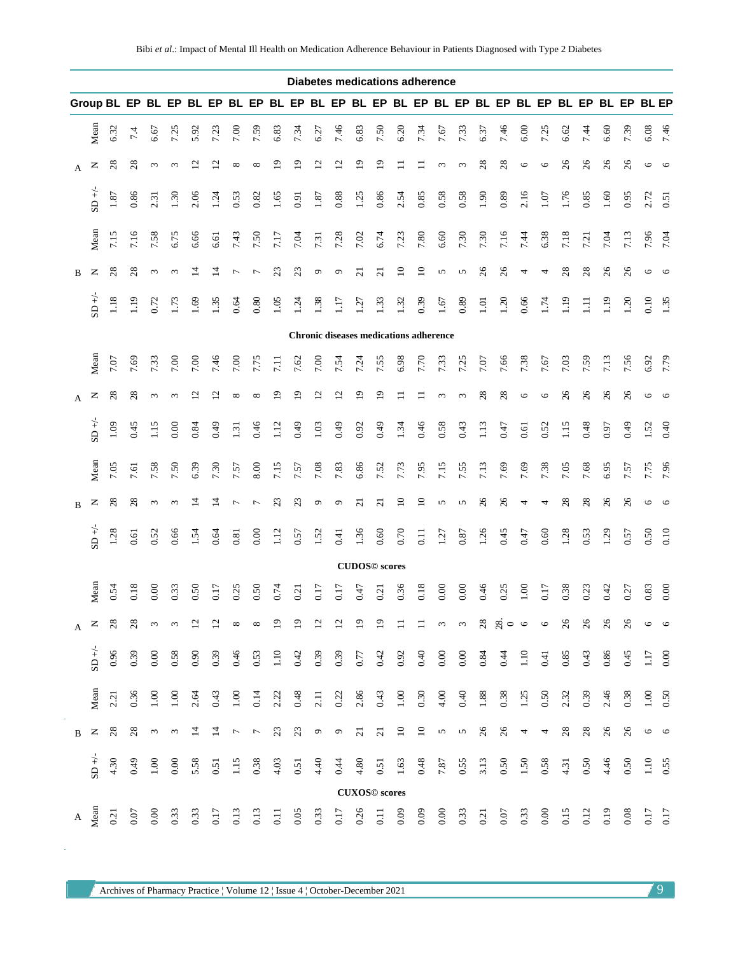| <b>Diabetes medications adherence</b> |                             |          |          |            |            |                          |                          |                          |                                                                                                 |                  |                   |                           |                           |                                               |                 |          |                  |                    |                    |          |                                                                                           |         |                          |               |      |         |        |         |             |
|---------------------------------------|-----------------------------|----------|----------|------------|------------|--------------------------|--------------------------|--------------------------|-------------------------------------------------------------------------------------------------|------------------|-------------------|---------------------------|---------------------------|-----------------------------------------------|-----------------|----------|------------------|--------------------|--------------------|----------|-------------------------------------------------------------------------------------------|---------|--------------------------|---------------|------|---------|--------|---------|-------------|
|                                       |                             |          |          |            |            |                          |                          |                          | Group BL EP BL EP BL EP BL EP BL EP BL EP BL EP BL EP BL EP BL EP BL EP BL EP BL EP BL EP BL EP |                  |                   |                           |                           |                                               |                 |          |                  |                    |                    |          |                                                                                           |         |                          |               |      |         |        |         |             |
|                                       | Mean                        | 6.32     | 7.4      | 6.67       | 7.25       | 5.92                     | 7.23                     | 7.00                     | 7.59                                                                                            | 6.83             | 7.34              | 6.27                      | 7.46                      | 6.83                                          | 7.50            | 6.20     | 7.34             | 7.67               | 7.33               | 6.37     | 7.46                                                                                      | 6.00    | 7.25                     | 6.62          | 7.44 | 6.60    | 7.39   | 6.08    | 7.46        |
| A                                     | z                           | 28       | 28       | $\epsilon$ | $\epsilon$ | $\overline{\mathcal{C}}$ | $\overline{\mathcal{C}}$ | ${}^{\circ}$             | ${}^{\circ}$                                                                                    | ە                | ⊵                 | $\overline{\mathfrak{c}}$ | $\overline{c}$            | ⊵                                             | ≏               |          |                  | $\epsilon$         | $\epsilon$         | 28       | 28                                                                                        | $\circ$ | $\circ$                  | 26            | 26   | 26      | 26     | $\circ$ | $\circ$     |
|                                       | $\mathsf{SD} + \mathcal{L}$ | $1.87\,$ | 0.86     | 2.31       | 1.30       | 2.06                     | 1.24                     | 0.53                     | 0.82                                                                                            | 1.65             | 0.91              | 1.87                      | 0.88                      | 1.25                                          | 0.86            | 2.54     | 0.85             | 0.58               | 0.58               | 1.90     | 0.89                                                                                      | 2.16    | 1.07                     | 1.76          | 0.85 | 1.60    | 0.95   | 2.72    | 0.51        |
|                                       | Mean                        | 7.15     | 7.16     | 7.58       | 6.75       | 6.66                     | 6.61                     | 7.43                     | 7.50                                                                                            | 7.17             | 7.04              | 7.31                      | 7.28                      | 7.02                                          | 6.74            | 7.23     | 7.80             | 6.60               | 7.30               | 7.30     | 7.16                                                                                      | 7.44    | 6.38                     | 7.18          | 7.21 | 7.04    | 7.13   | 7.96    | 7.04        |
| B                                     | z                           | 28       | 28       | $\epsilon$ | $\epsilon$ | Ξ                        | 4                        | <u>L</u>                 | $\overline{ }$                                                                                  | 23               | 23                | $\circ$                   | ٥                         | $\overline{\Omega}$                           | $\overline{c}$  | $\Xi$    | $\overline{10}$  | S                  | 5                  | 26       | 26                                                                                        | 4       | 4                        | 28            | 28   | 26      | 26     | $\circ$ | $\circ$     |
|                                       | $SD +/$                     | $1.18$   | 1.19     | 0.72       | 1.73       | $\overline{6}$           | 1.35                     | 0.64                     | 0.80                                                                                            | 1.05             | $\overline{5}$    | 1.38                      | $\Xi$                     | $\overline{121}$                              | $\frac{33}{2}$  | 1.32     | 0.39             | 1.67               | 0.89               | 1.01     | 1.20                                                                                      | 0.66    | 1.74                     | $\frac{1}{2}$ | Ξ    | 1.19    | 1.20   | 0.10    | 1.35        |
|                                       |                             |          |          |            |            |                          |                          |                          |                                                                                                 |                  |                   |                           |                           | <b>Chronic diseases medications adherence</b> |                 |          |                  |                    |                    |          |                                                                                           |         |                          |               |      |         |        |         |             |
|                                       | Mean                        | 7.07     | 7.69     | 7.33       | 7.00       | 7.00                     | 7.46                     | 7.00                     | 7.75                                                                                            | $\overline{11}$  | 7.62              | 7.00                      | 7.54                      | 7.24                                          | 7.55            | 6.98     | 7.70             | 7.33               | 7.25               | 7.07     | 7.66                                                                                      | 7.38    | 7.67                     | 7.03          | 7.59 | 7.13    | 7.56   | 6.92    | 7.79        |
| $\mathbf{A}$                          | z                           | 28       | $^{28}$  | $\epsilon$ | 3          | ₫                        | $\bar{\omega}$           | ${}^{\circ}$             | ${}^{\circ}$                                                                                    | ഉ                | $\overline{0}$    | $\overline{c}$            | $\overline{\mathfrak{c}}$ | 2                                             | 2               |          |                  | $\epsilon$         | $\epsilon$         | 28       | 28                                                                                        | $\circ$ | $\circ$                  | 26            | 26   | 26      | 26     | O       | $\circ$     |
|                                       | $+50 +$                     | 1.09     | 0.45     | 1.15       | 0.00       | 0.84                     | 0.49                     | 1.31                     | 0.46                                                                                            | 1.12             | 0.49              | 1.03                      | 0.49                      | 0.92                                          | 0.49            | 1.34     | 0.46             | 0.58               | 0.43               | 1.13     | 0.47                                                                                      | 0.61    | 0.52                     | 1.15          | 0.48 | 0.97    | 0.49   | 1.52    | 0.40        |
|                                       | Mean                        | 7.05     | 7.61     | 7.58       | 7.50       | 6.39                     | 7.30                     | 7.57                     | 8.00                                                                                            | 7.15             | 7.57              | 7.08                      | 7.83                      | 6.86                                          | 7.52            | 7.73     | 7.95             | 7.15               | 7.55               | 7.13     | 7.69                                                                                      | 7.69    | 7.38                     | 7.05          | 7.68 | 6.95    | 7.57   | 7.75    | 7.96        |
| B                                     | z                           | 28       | 28       | $\epsilon$ | 3          | 그                        | 4                        | <u>L</u>                 |                                                                                                 | $\mathbb{S}$     | $\mathbb{Z}$      | $\circ$                   | ٥                         | ត                                             | ಸ               | $\Xi$    | $\Xi$            | S                  | 5                  | $\delta$ | 26                                                                                        | 4       | 4                        | $^{28}$       | 28   | $\beta$ | 26     | O       | $\circ$     |
|                                       | $SD +/$                     | 1.28     | 0.61     | 0.52       | 0.66       | 1.54                     | 0.64                     | 0.81                     | 0.00                                                                                            | 1.12             | 0.57              | 1.52                      | 0.41                      | 1.36                                          | 0.60            | 0.70     | $\overline{0}$ . | 1.27               | 0.87               | 1.26     | 0.45                                                                                      | 0.47    | 0.60                     | 1.28          | 0.53 | 1.29    | 0.57   | 0.50    | 0.10        |
|                                       |                             |          |          |            |            |                          |                          |                          |                                                                                                 |                  |                   |                           |                           | <b>CUDOS</b> <sup>©</sup> scores              |                 |          |                  |                    |                    |          |                                                                                           |         |                          |               |      |         |        |         |             |
|                                       | Mean                        | 0.54     | 0.18     | 0.00       | 0.33       | 0.50                     | 0.17                     | 0.25                     | 0.50                                                                                            | 0.74             | $\overline{0.21}$ | 0.17                      | 0.17                      | 0.47                                          | 0.21            | 0.36     | 0.18             | 0.00               | 0.00               | 0.46     | 0.25                                                                                      | 1.00    | 0.17                     | 0.38          | 0.23 | 0.42    | 0.27   | 0.83    | 0.00        |
| A                                     | z                           | 28       | 28       | 3          | $\omega$   | $\overline{c}$           | $\overline{c}$           | $\infty$                 | $\infty$                                                                                        | $\overline{0}$   | $\overline{5}$    | $\overline{c}$            | $\overline{c}$            | $\overline{19}$                               | $\overline{19}$ | $\equiv$ | $\equiv$         | $\omega$           | $\omega$           |          | $\overset{\circ}{\phantom{0}}3\overset{\circ}{\phantom{0}}5\overset{\circ}{\phantom{0}}0$ |         | $\circ$                  | 26            | 26   | 26      | 26     | $\circ$ | $\circ$     |
|                                       | $\mathbf{SD} + \mathcal{L}$ | 0.96     | 0.39     | 0.00       | 0.58       | 0.90                     | 0.39                     | 0.46                     | 0.53                                                                                            | $1.10$           | 0.42              | 0.39                      | 0.39                      | 0.77                                          | 0.42            | 0.92     | 0.40             | 0.00               | 0.00               | 0.84     | 0.44                                                                                      | 1.10    | 0.41                     | 0.85          | 0.43 | 0.86    | 0.45   | 1.17    | 0.00        |
|                                       | Mean                        | 2.21     | 0.36     | 1.00       | $1.00\,$   | 2.64                     | 0.43                     | 1.00                     | 0.14                                                                                            | 2.22             | 0.48              | 2.11                      | 0.22                      | 2.86                                          | 0.43            | 1.00     | 0.30             | 4.00               | 0.40               | 1.88     | 0.38                                                                                      | 1.25    | 0.50                     | 2.32          | 0.39 | 2.46    | 0.38   | 1.00    | 0.50        |
| $\, {\bf B}$                          | $\mathsf{z}$                | $28$     | $28$     | 3          | $\omega$   | $\overline{4}$           | $\overline{4}$           | $\overline{\phantom{a}}$ | $\overline{\phantom{a}}$                                                                        | 23               | 23                | $\mathfrak{S}$            | $\sigma$                  | $\overline{c}$                                | $\overline{c}$  | $\Box$   | $\overline{10}$  | $\mathbf{\hat{c}}$ | $\mathbf{\hat{c}}$ | $26$     | $\infty$                                                                                  | 4       | $\overline{\phantom{a}}$ | 28            | $28$ | 26      | $26\,$ | $\circ$ | $\circ$     |
|                                       | $SD +/-$                    | 4.30     | 64.0     | 1.00       | 0.00       | 5.58                     | 0.51                     | 1.15                     | 0.38                                                                                            | 4.03             | 0.51              | 4.40                      | 0.44                      | 4.80                                          | 0.51            | 1.63     | 0.48             | $7.87\,$           | 0.55               | 3.13     | 0.50                                                                                      | 1.50    | 0.58                     | 4.31          | 0.50 | 4.46    | 0.50   | $1.10$  | 0.55        |
|                                       |                             |          |          |            |            |                          |                          |                          |                                                                                                 |                  |                   |                           |                           | <b>CUXOS©</b> scores                          |                 |          |                  |                    |                    |          |                                                                                           |         |                          |               |      |         |        |         |             |
| $\overline{A}$ $\overline{B}$         |                             | 0.21     | $0.07\,$ | 0.00       | 0.33       | 0.33                     | 0.17                     | 0.13                     | 0.13                                                                                            | $\overline{0}$ . | 0.05              | 0.33                      | 0.17                      | 0.26                                          | 0.11            | 0.09     | 0.09             | 0.00               | 0.33               | 0.21     | 0.07                                                                                      | 0.33    | 0.00                     | 0.15          | 0.12 | 0.19    | 0.08   |         | 0.17<br>CLO |

Archives of Pharmacy Practice | Volume 12 | Issue 4 | October-December 2021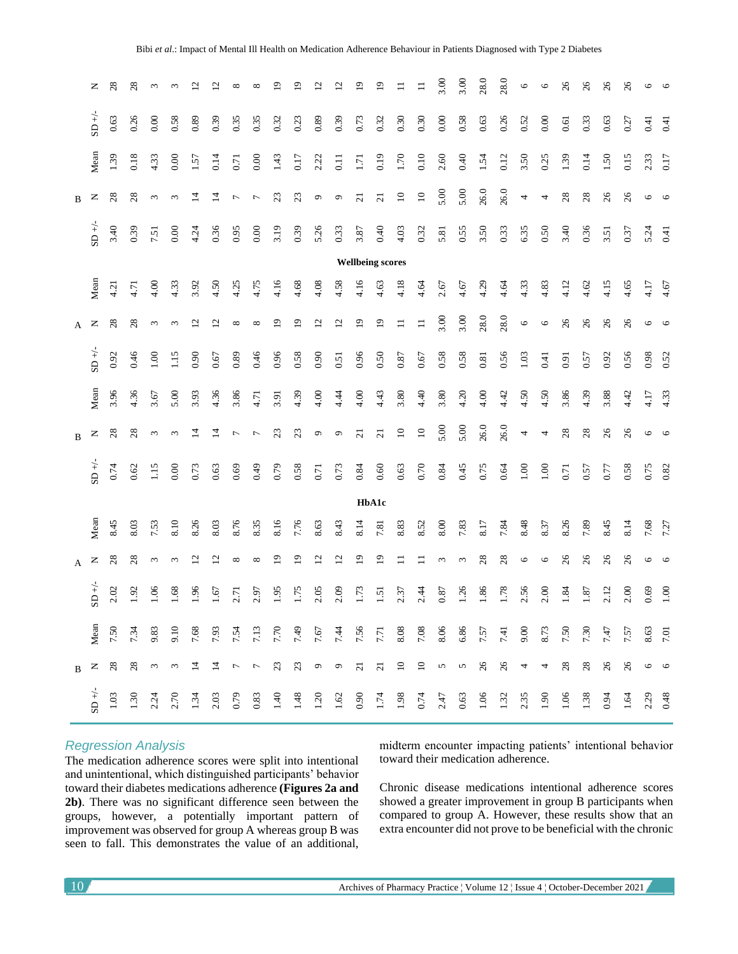|                         | z                           | $_{\rm 8}$ | 28   | $\sim$     |            |                |                             |                |                          |                |      |                   | ≌                   |                | $\Xi$           |                 |              | 3.00   | 3.00               | 28.0           | 28.0           | $\circ$                  | $\circ$ | 26             | $\delta$       | 26              | 26   | 6       | $\circ$ |
|-------------------------|-----------------------------|------------|------|------------|------------|----------------|-----------------------------|----------------|--------------------------|----------------|------|-------------------|---------------------|----------------|-----------------|-----------------|--------------|--------|--------------------|----------------|----------------|--------------------------|---------|----------------|----------------|-----------------|------|---------|---------|
|                         | $\mathsf{SD} + \mathcal{L}$ | $0.63\,$   | 0.26 | 0.00       | 0.58       | 0.89           | 0.39                        | 0.35           | 0.35                     | 0.32           | 0.23 | 0.89              | 0.39                | 0.73           | 0.32            | 0.30            | 0.30         | 0.00   | 0.58               | 0.63           | 0.26           | 0.52                     | 0.00    | 0.61           | 0.33           | 0.63            | 0.27 | 0.41    | 0.41    |
|                         | Mean                        | 1.39       | 0.18 | 4.33       | 0.00       | 1.57           | 0.14                        | 0.71           | 0.00                     | 1.43           | 0.17 | 2.22              | $0.11$              | 1.71           | 0.19            | 1.70            | 0.10         | 2.60   | 0.40               | 1.54           | 0.12           | 3.50                     | 0.25    | 1.39           | 0.14           | 1.50            | 0.15 | 2.33    | 0.17    |
| $\mathbf B$             | z                           | 28         | 28   | 3          | $\epsilon$ | $\vec{a}$      | $\overline{1}$              | $\overline{ }$ | $\overline{ }$           | 23             | 23   | $\mathsf{\sigma}$ | $\mathfrak{S}$      | $\overline{c}$ | $\overline{21}$ | $\overline{10}$ | $10$         | 5.00   | 5.00               | 26.0           | 26.0           | 4                        | 4       | 28             | 28             | 26              | 26   | 6       | $\circ$ |
|                         | $+/-$                       | 3.40       | 0.39 | 7.51       | 0.00       | 4.24           | 0.36                        | 0.95           | 0.00                     | 3.19           | 0.39 | 5.26              | 0.33                | 3.87           | 0.40            | 4.03            | 0.32         | 5.81   | 0.55               | 3.50           | 0.33           | 6.35                     | 0.50    | 3.40           | 0.36           | 3.51            | 0.37 | 5.24    | 0.41    |
| <b>Wellbeing scores</b> |                             |            |      |            |            |                |                             |                |                          |                |      |                   |                     |                |                 |                 |              |        |                    |                |                |                          |         |                |                |                 |      |         |         |
|                         | Mean                        | 4.21       | 4.71 | 4.00       | 4.33       | 3.92           | 4.50                        | 4.25           | 4.75                     | 4.16           | 4.68 | 4.08              | 4.58                | 4.16           | 4.63            | 4.18            | 4.64         | 2.67   | 4.67               | 4.29           | 4.64           | 4.33                     | 4.83    | 4.12           | 4.62           | 4.15            | 4.65 | 4.17    | 4.67    |
| A                       | z                           | $^{28}$    | 28   | 3          | 3          | 5              | $\overline{c}$              | ${}^{\circ}$   | $\infty$                 | ⊵              | ₫    | ₫                 | $\overline{c}$      | $\mathbf{D}$   | $\overline{0}$  | $\equiv$        | $\equiv$     | 3.00   | 3.00               | 28.0           | 28.0           | $\circ$                  | $\circ$ | $\frac{26}{5}$ | $\mathcal{Z}6$ | 26              | 26   | $\circ$ | $\circ$ |
|                         | $SD +/-$                    | 0.92       | 0.46 | 1.00       | 1.15       | 0.90           | 0.67                        | 0.89           | 0.46                     | 0.96           | 0.58 | 0.90              | 0.51                | 0.96           | 0.50            | 0.87            | 0.67         | 0.58   | 0.58               | $\!0.81$       | 0.56           | $1.03$                   | 0.41    | 0.91           | 0.57           | 0.92            | 0.56 | 0.98    | 0.52    |
|                         | Mean                        | 3.96       | 4.36 | 3.67       | 5.00       | 3.93           | 4.36                        | 3.86           | 4.71                     | 3.91           | 4.39 | 4.00              | 4.44                | 4.00           | 4.43            | 3.80            | 4.40         | 3.80   | 4.20               | 4.00           | 4.42           | 4.50                     | 4.50    | 3.86           | 4.39           | 3.88            | 4.42 | 4.17    | 4.33    |
| $\mathbf B$             | z                           | 28         | 28   | $\epsilon$ | $\epsilon$ | $\overline{4}$ | $\overline{4}$              | 7              | $\overline{ }$           | 23             | 23   | $\sigma$          | $\sigma$            | $\overline{c}$ | $\overline{c}$  | $\overline{10}$ | $\mathbf{C}$ | 5.00   | 5.00               | 26.0           | 26.0           | 4                        | 4       | 28             | 28             | $\infty$        | 26   | O       | $\circ$ |
|                         | $SD +/-$                    | 0.74       | 0.62 | 1.15       | 0.00       | 0.73           | 0.63                        | 0.69           | 0.49                     | 0.79           | 0.58 | 0.71              | 0.73                | 0.84           | $0.60\,$        | 0.63            | 0.70         | 0.84   | 0.45               | 0.75           | 0.64           | 1.00                     | 1.00    | 0.71           | 0.57           | 0.77            | 0.58 | 0.75    | 0.82    |
|                         |                             |            |      |            |            |                |                             |                |                          |                |      |                   |                     |                | HbA1c           |                 |              |        |                    |                |                |                          |         |                |                |                 |      |         |         |
|                         | Mean                        | 8.45       | 8.03 | 7.53       | 8.10       | 8.26           | 8.03                        | 8.76           | 8.35                     | 8.16           | 7.76 | 8.63              | 8.43                | 8.14           | 7.81            | 8.83            | 8.52         | 8.00   | 7.83               | 8.17           | 7.84           | 8.48                     | 8.37    | 8.26           | 7.89           | 8.45            | 8.14 | 7.68    | 7.27    |
| A                       | z                           | 28         | 28   | $\epsilon$ | 3          | ų              | $\mathcal{L}_{\mathcal{L}}$ | ${}^{\circ}$   | ${}^{\circ}$             | Ō              | ە    | 7                 | $\overline{\omega}$ | ٩              | 2               |                 |              | $\sim$ | $\epsilon$         | $^{28}$        | 28             | $\circ$                  | $\circ$ | 26             | 26             | 26              | 26   | $\circ$ | $\circ$ |
|                         | $SD +/-$                    | 2.02       | 1.92 | 1.06       | 1.68       | 1.96           | 1.67                        | 2.71           | 2.97                     | 1.95           | 1.75 | 2.05              | 2.09                | 1.73           | 1.51            | 2.37            | 2.44         | 0.87   | 1.26               | 1.86           | 1.78           | 2.56                     | 2.00    | 1.84           | 1.87           | 2.12            | 2.00 | 0.69    | 1.00    |
|                         | Mean                        | 7.50       | 7.34 | 9.83       | 9.10       | 7.68           | 7.93                        | 7.54           | 7.13                     | 7.70           | 7.49 | 7.67              | 7.44                | 7.56           | 7.71            | 8.08            | 7.08         | 8.06   | 6.86               | 7.57           | 7.41           | 9.00                     | 8.73    | 7.50           | 7.30           | 7.47            | 7.57 | 8.63    | 7.01    |
| B                       | z                           | $^{28}$    | 28   | $\epsilon$ | $\omega$   | $\overline{4}$ | $\overline{4}$              | $\overline{ }$ | $\overline{\phantom{a}}$ | $\mathfrak{L}$ | 23   | $\circ$           | $\sigma$            | $\overline{c}$ | $\overline{c}$  | $\overline{10}$ | $\Xi$        | $\sim$ | $\mathbf{\hat{c}}$ | $\mathcal{Z}6$ | $\mathcal{Z}6$ | $\overline{\mathcal{A}}$ | 4       | 28             | $28$           | $\overline{26}$ | 26   | O       | $\circ$ |
|                         | $SD +/$                     | 1.03       | 1.30 | 2.24       | 2.70       | 1.34           | 2.03                        | 0.79           | 0.83                     | 1.40           | 1.48 | 1.20              | 1.62                | 0.90           | 1.74            | 1.98            | 0.74         | 2.47   | 0.63               | 1.06           | 1.32           | 2.35                     | 1.90    | 1.06           | 1.38           | 0.94            | 1.64 | 2.29    | 0.48    |

## *Regression Analysis*

The medication adherence scores were split into intentional and unintentional, which distinguished participants' behavior toward their diabetes medications adherence **(Figures 2a and 2b)**. There was no significant difference seen between the groups, however, a potentially important pattern of improvement was observed for group A whereas group B was seen to fall. This demonstrates the value of an additional,

midterm encounter impacting patients' intentional behavior toward their medication adherence.

Chronic disease medications intentional adherence scores showed a greater improvement in group B participants when compared to group A. However, these results show that an extra encounter did not prove to be beneficial with the chronic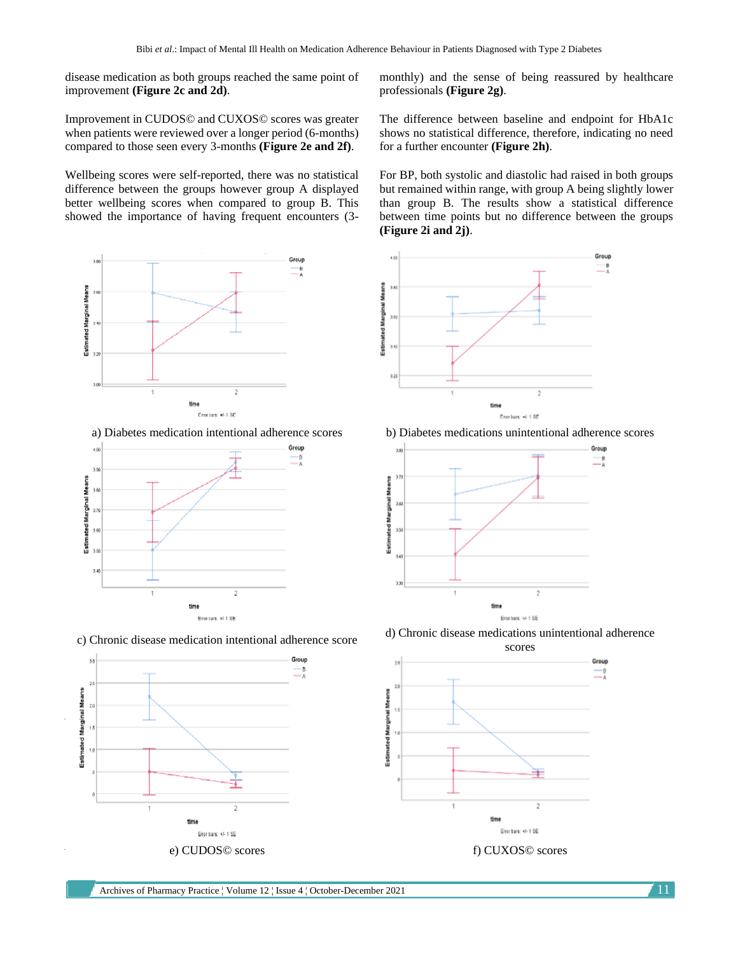disease medication as both groups reached the same point of improvement **(Figure 2c and 2d)**.

Improvement in CUDOS© and CUXOS© scores was greater when patients were reviewed over a longer period (6-months) compared to those seen every 3-months **(Figure 2e and 2f)**.

Wellbeing scores were self-reported, there was no statistical difference between the groups however group A displayed better wellbeing scores when compared to group B. This showed the importance of having frequent encounters (3-



a) Diabetes medication intentional adherence scores b) Diabetes medications unintentional adherence scores





monthly) and the sense of being reassured by healthcare professionals **(Figure 2g)**.

The difference between baseline and endpoint for HbA1c shows no statistical difference, therefore, indicating no need for a further encounter **(Figure 2h)**.

For BP, both systolic and diastolic had raised in both groups but remained within range, with group A being slightly lower than group B. The results show a statistical difference between time points but no difference between the groups **(Figure 2i and 2j)**.







c) Chronic disease medication intentional adherence score d) Chronic disease medications unintentional adherence

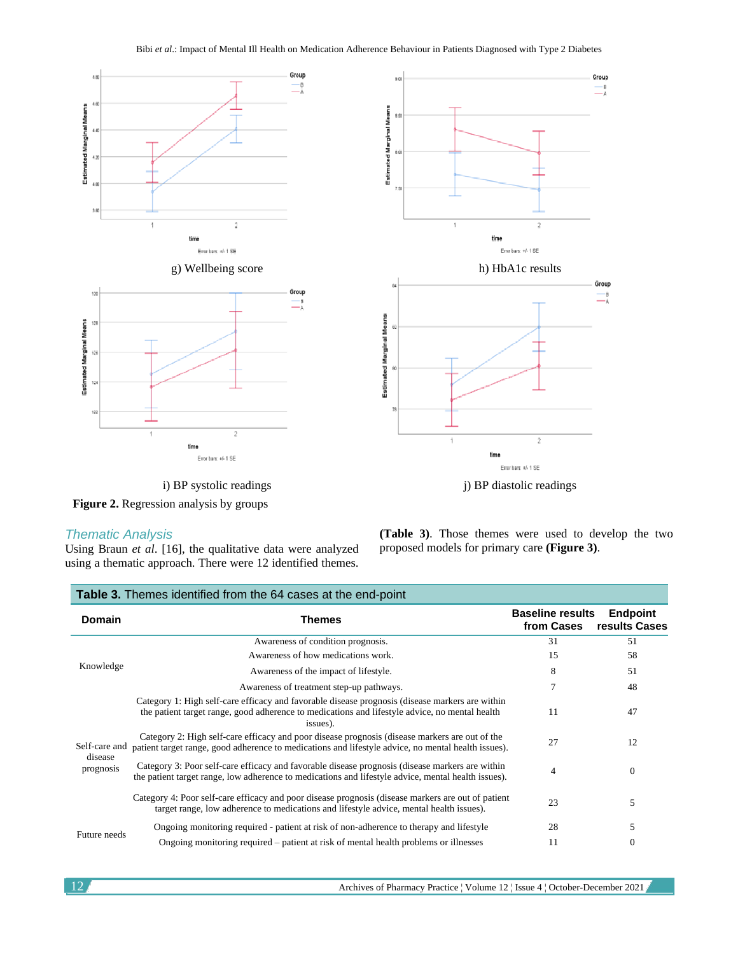

**Figure 2.** Regression analysis by groups

## *Thematic Analysis*

Using Braun *et al*. [16], the qualitative data were analyzed using a thematic approach. There were 12 identified themes. **(Table 3)**. Those themes were used to develop the two proposed models for primary care **(Figure 3)**.

| Table 3. Themes identified from the 64 cases at the end-point |                                                                                                                                                                                                               |                                       |                                  |  |  |  |  |  |  |  |  |
|---------------------------------------------------------------|---------------------------------------------------------------------------------------------------------------------------------------------------------------------------------------------------------------|---------------------------------------|----------------------------------|--|--|--|--|--|--|--|--|
| <b>Domain</b>                                                 | <b>Themes</b>                                                                                                                                                                                                 | <b>Baseline results</b><br>from Cases | <b>Endpoint</b><br>results Cases |  |  |  |  |  |  |  |  |
|                                                               | Awareness of condition prognosis.                                                                                                                                                                             | 31                                    | 51                               |  |  |  |  |  |  |  |  |
|                                                               | Awareness of how medications work.                                                                                                                                                                            | 15                                    | 58                               |  |  |  |  |  |  |  |  |
| Knowledge                                                     | Awareness of the impact of lifestyle.                                                                                                                                                                         | 8                                     | 51                               |  |  |  |  |  |  |  |  |
|                                                               | Awareness of treatment step-up pathways.                                                                                                                                                                      | 7                                     | 48                               |  |  |  |  |  |  |  |  |
|                                                               | Category 1: High self-care efficacy and favorable disease prognosis (disease markers are within<br>the patient target range, good adherence to medications and lifestyle advice, no mental health<br>issues). | 11                                    | 47                               |  |  |  |  |  |  |  |  |
| Self-care and<br>disease                                      | Category 2: High self-care efficacy and poor disease prognosis (disease markers are out of the<br>patient target range, good adherence to medications and lifestyle advice, no mental health issues).         | 27                                    | 12                               |  |  |  |  |  |  |  |  |
| prognosis                                                     | Category 3: Poor self-care efficacy and favorable disease prognosis (disease markers are within<br>the patient target range, low adherence to medications and lifestyle advice, mental health issues).        | 4                                     | $\theta$                         |  |  |  |  |  |  |  |  |
|                                                               | Category 4: Poor self-care efficacy and poor disease prognosis (disease markers are out of patient<br>target range, low adherence to medications and lifestyle advice, mental health issues).                 | 23                                    | 5                                |  |  |  |  |  |  |  |  |
|                                                               | Ongoing monitoring required - patient at risk of non-adherence to therapy and lifestyle                                                                                                                       | 28                                    | 5                                |  |  |  |  |  |  |  |  |
| Future needs                                                  | Ongoing monitoring required – patient at risk of mental health problems or illnesses                                                                                                                          | 11                                    | $\mathbf{0}$                     |  |  |  |  |  |  |  |  |

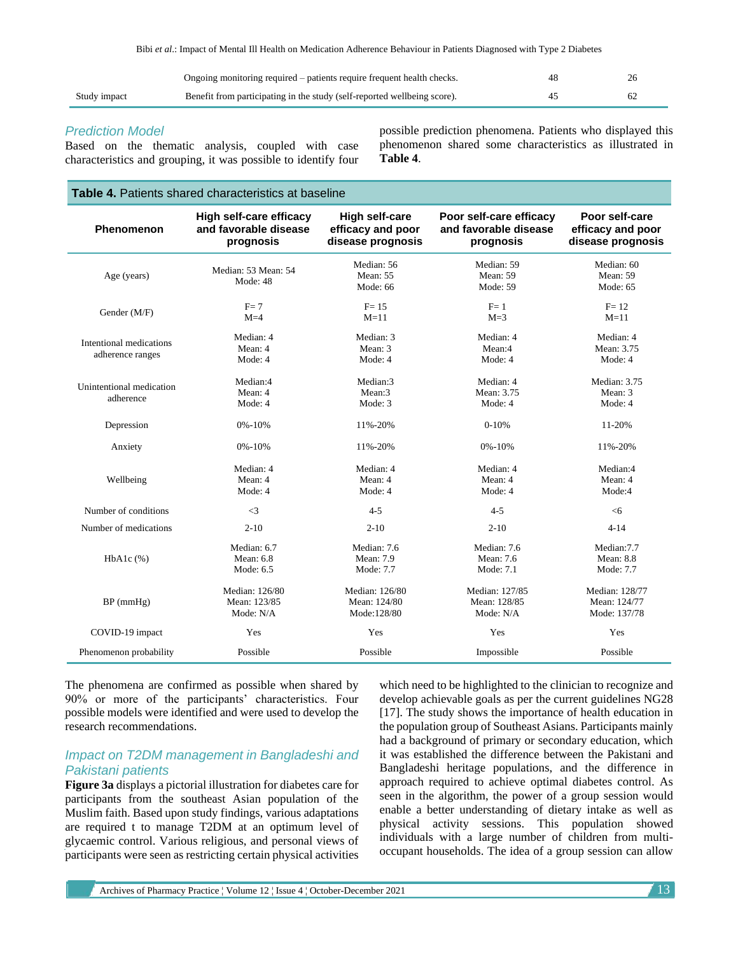|              | Ongoing monitoring required – patients require frequent health checks.   |  |
|--------------|--------------------------------------------------------------------------|--|
| Study impact | Benefit from participating in the study (self-reported wellbeing score). |  |

## *Prediction Model*

Based on the thematic analysis, coupled with case characteristics and grouping, it was possible to identify four possible prediction phenomena. Patients who displayed this phenomenon shared some characteristics as illustrated in **Table 4**.

## **Table 4.** Patients shared characteristics at baseline

| Phenomenon                                  | High self-care efficacy<br>and favorable disease<br>prognosis | <b>High self-care</b><br>efficacy and poor<br>disease prognosis | Poor self-care efficacy<br>and favorable disease<br>prognosis | Poor self-care<br>efficacy and poor<br>disease prognosis |
|---------------------------------------------|---------------------------------------------------------------|-----------------------------------------------------------------|---------------------------------------------------------------|----------------------------------------------------------|
| Age (years)                                 | Median: 53 Mean: 54<br>Mode: 48                               | Median: 56<br>Mean: 55<br>Mode: 66                              | Median: 59<br>Mean: 59<br>Mode: 59                            | Median: 60<br>Mean: 59<br>Mode: 65                       |
| Gender (M/F)                                | $F = 7$<br>$M=4$                                              | $F = 15$<br>$M=11$                                              | $F = 1$<br>$M=3$                                              | $F = 12$<br>$M=11$                                       |
| Intentional medications<br>adherence ranges | Median: 4<br>Mean: 4<br>Mode: 4                               | Median: 3<br>Mean: 3<br>Mode: 4                                 | Median: 4<br>Mean:4<br>Mode: 4                                | Median: 4<br>Mean: 3.75<br>Mode: 4                       |
| Unintentional medication<br>adherence       | Median:4<br>Mean: 4<br>Mode: 4                                | Median:3<br>Mean:3<br>Mode: 3                                   | Median: 4<br>Mean: 3.75<br>Mode: 4                            | Median: 3.75<br>Mean: 3<br>Mode: 4                       |
| Depression                                  | $0\% - 10\%$                                                  | 11%-20%                                                         | $0-10%$                                                       | 11-20%                                                   |
| Anxiety                                     | $0\% - 10\%$                                                  | 11%-20%                                                         | $0\% - 10\%$                                                  | 11%-20%                                                  |
| Wellbeing                                   | Median: 4<br>Mean: 4<br>Mode: 4                               | Median: 4<br>Mean: 4<br>Mode: 4                                 | Median: 4<br>Mean: 4<br>Mode: 4                               | Median:4<br>Mean: 4<br>Mode:4                            |
| Number of conditions                        | $\leq$ 3                                                      | $4 - 5$                                                         | $4 - 5$                                                       | <6                                                       |
| Number of medications                       | $2 - 10$                                                      | $2 - 10$                                                        | $2 - 10$                                                      | $4 - 14$                                                 |
| $HbA1c$ $(\%)$                              | Median: 6.7<br>Mean: 6.8<br>Mode: 6.5                         | Median: 7.6<br>Mean: 7.9<br>Mode: 7.7                           | Median: 7.6<br>Mean: 7.6<br>Mode: 7.1                         | Median:7.7<br><b>Mean: 8.8</b><br>Mode: 7.7              |
| $BP$ (mmHg)                                 | Median: 126/80<br>Mean: 123/85<br>Mode: N/A                   | Median: 126/80<br>Mean: 124/80<br>Mode:128/80                   | Median: 127/85<br>Mean: 128/85<br>Mode: N/A                   | Median: 128/77<br>Mean: 124/77<br>Mode: 137/78           |
| COVID-19 impact                             | Yes                                                           | Yes                                                             | Yes                                                           | Yes                                                      |
| Phenomenon probability                      | Possible                                                      | Possible                                                        | Impossible                                                    | Possible                                                 |

The phenomena are confirmed as possible when shared by 90% or more of the participants' characteristics. Four possible models were identified and were used to develop the research recommendations.

## *Impact on T2DM management in Bangladeshi and Pakistani patients*

**Figure 3a** displays a pictorial illustration for diabetes care for participants from the southeast Asian population of the Muslim faith. Based upon study findings, various adaptations are required t to manage T2DM at an optimum level of glycaemic control. Various religious, and personal views of participants were seen as restricting certain physical activities

which need to be highlighted to the clinician to recognize and develop achievable goals as per the current guidelines NG28 [17]. The study shows the importance of health education in the population group of Southeast Asians. Participants mainly had a background of primary or secondary education, which it was established the difference between the Pakistani and Bangladeshi heritage populations, and the difference in approach required to achieve optimal diabetes control. As seen in the algorithm, the power of a group session would enable a better understanding of dietary intake as well as physical activity sessions. This population showed individuals with a large number of children from multioccupant households. The idea of a group session can allow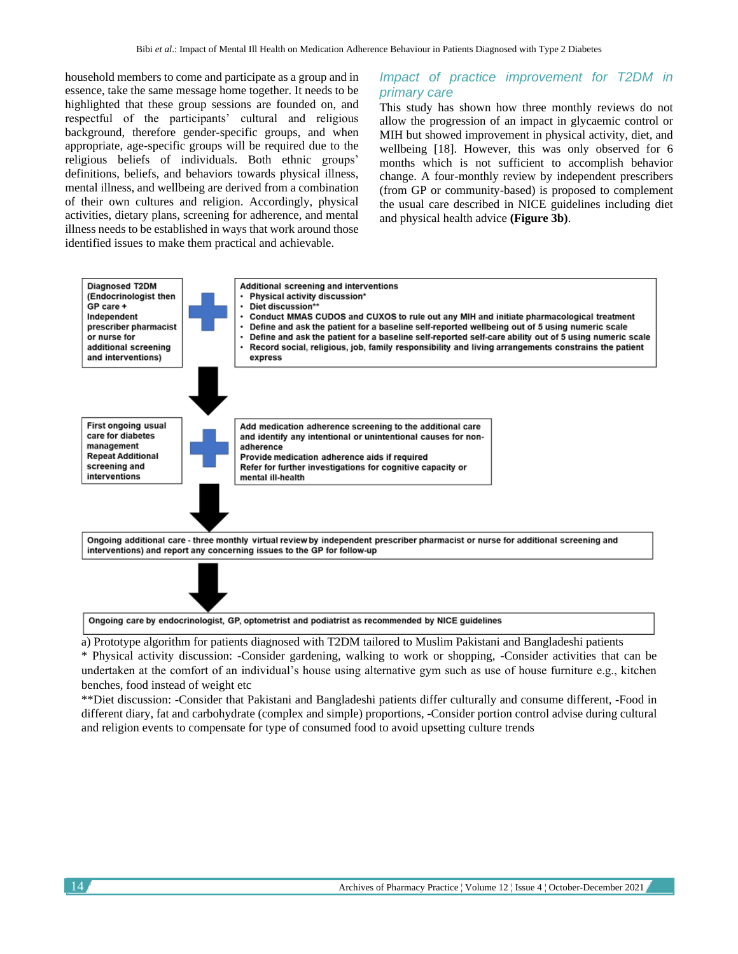household members to come and participate as a group and in essence, take the same message home together. It needs to be highlighted that these group sessions are founded on, and respectful of the participants' cultural and religious background, therefore gender-specific groups, and when appropriate, age-specific groups will be required due to the religious beliefs of individuals. Both ethnic groups' definitions, beliefs, and behaviors towards physical illness, mental illness, and wellbeing are derived from a combination of their own cultures and religion. Accordingly, physical activities, dietary plans, screening for adherence, and mental illness needs to be established in ways that work around those identified issues to make them practical and achievable.

## *Impact of practice improvement for T2DM in primary care*

This study has shown how three monthly reviews do not allow the progression of an impact in glycaemic control or MIH but showed improvement in physical activity, diet, and wellbeing [18]. However, this was only observed for 6 months which is not sufficient to accomplish behavior change. A four-monthly review by independent prescribers (from GP or community-based) is proposed to complement the usual care described in NICE guidelines including diet and physical health advice **(Figure 3b)**.



a) Prototype algorithm for patients diagnosed with T2DM tailored to Muslim Pakistani and Bangladeshi patients

\* Physical activity discussion: -Consider gardening, walking to work or shopping, -Consider activities that can be undertaken at the comfort of an individual's house using alternative gym such as use of house furniture e.g., kitchen benches, food instead of weight etc

\*\*Diet discussion: -Consider that Pakistani and Bangladeshi patients differ culturally and consume different, -Food in different diary, fat and carbohydrate (complex and simple) proportions, -Consider portion control advise during cultural and religion events to compensate for type of consumed food to avoid upsetting culture trends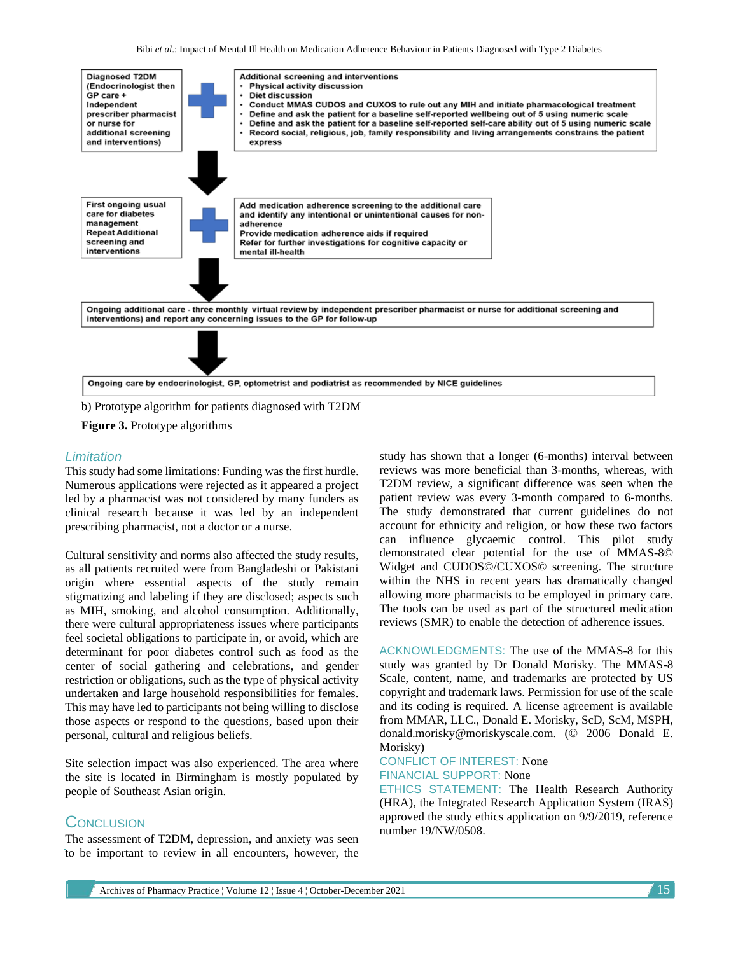

b) Prototype algorithm for patients diagnosed with T2DM

#### **Figure 3.** Prototype algorithms

### *Limitation*

This study had some limitations: Funding was the first hurdle. Numerous applications were rejected as it appeared a project led by a pharmacist was not considered by many funders as clinical research because it was led by an independent prescribing pharmacist, not a doctor or a nurse.

Cultural sensitivity and norms also affected the study results, as all patients recruited were from Bangladeshi or Pakistani origin where essential aspects of the study remain stigmatizing and labeling if they are disclosed; aspects such as MIH, smoking, and alcohol consumption. Additionally, there were cultural appropriateness issues where participants feel societal obligations to participate in, or avoid, which are determinant for poor diabetes control such as food as the center of social gathering and celebrations, and gender restriction or obligations, such as the type of physical activity undertaken and large household responsibilities for females. This may have led to participants not being willing to disclose those aspects or respond to the questions, based upon their personal, cultural and religious beliefs.

Site selection impact was also experienced. The area where the site is located in Birmingham is mostly populated by people of Southeast Asian origin.

## **CONCLUSION**

The assessment of T2DM, depression, and anxiety was seen to be important to review in all encounters, however, the

study has shown that a longer (6-months) interval between reviews was more beneficial than 3-months, whereas, with T2DM review, a significant difference was seen when the patient review was every 3-month compared to 6-months. The study demonstrated that current guidelines do not account for ethnicity and religion, or how these two factors can influence glycaemic control. This pilot study demonstrated clear potential for the use of MMAS-8© Widget and CUDOS©/CUXOS© screening. The structure within the NHS in recent years has dramatically changed allowing more pharmacists to be employed in primary care. The tools can be used as part of the structured medication reviews (SMR) to enable the detection of adherence issues.

ACKNOWLEDGMENTS: The use of the MMAS-8 for this study was granted by Dr Donald Morisky. The MMAS-8 Scale, content, name, and trademarks are protected by US copyright and trademark laws. Permission for use of the scale and its coding is required. A license agreement is available from MMAR, LLC., Donald E. Morisky, ScD, ScM, MSPH, donald.morisky@moriskyscale.com. (© 2006 Donald E. Morisky)

# CONFLICT OF INTEREST: None FINANCIAL SUPPORT: None

ETHICS STATEMENT: The Health Research Authority (HRA), the Integrated Research Application System (IRAS) approved the study ethics application on 9/9/2019, reference number 19/NW/0508.